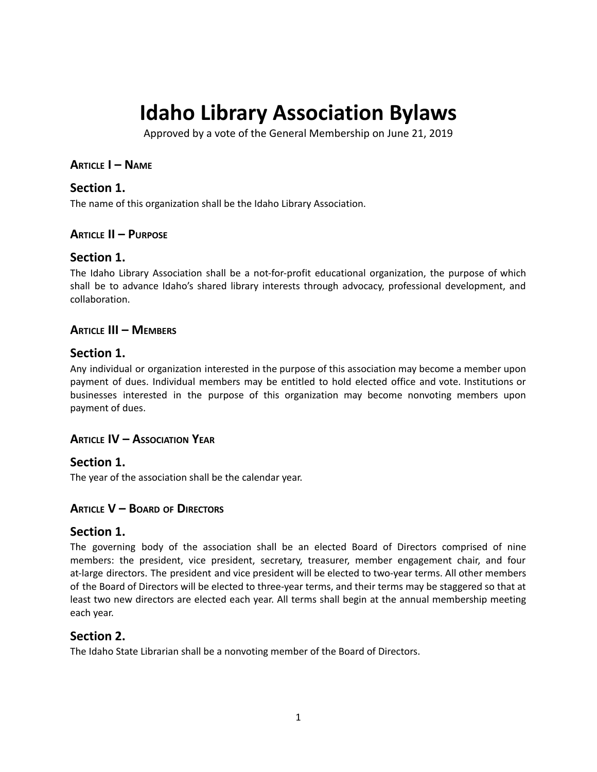# **Idaho Library Association Bylaws**

Approved by a vote of the General Membership on June 21, 2019

## **ARTICLE I – NAME**

## **Section 1.**

The name of this organization shall be the Idaho Library Association.

## **ARTICLE II – PURPOSE**

## **Section 1.**

The Idaho Library Association shall be a not-for-profit educational organization, the purpose of which shall be to advance Idaho's shared library interests through advocacy, professional development, and collaboration.

## **ARTICLE III – MEMBERS**

## **Section 1.**

Any individual or organization interested in the purpose of this association may become a member upon payment of dues. Individual members may be entitled to hold elected office and vote. Institutions or businesses interested in the purpose of this organization may become nonvoting members upon payment of dues.

## **ARTICLE IV – ASSOCIATION YEAR**

# **Section 1.**

The year of the association shall be the calendar year.

## **ARTICLE V – BOARD OF DIRECTORS**

## **Section 1.**

The governing body of the association shall be an elected Board of Directors comprised of nine members: the president, vice president, secretary, treasurer, member engagement chair, and four at-large directors. The president and vice president will be elected to two-year terms. All other members of the Board of Directors will be elected to three-year terms, and their terms may be staggered so that at least two new directors are elected each year. All terms shall begin at the annual membership meeting each year.

# **Section 2.**

The Idaho State Librarian shall be a nonvoting member of the Board of Directors.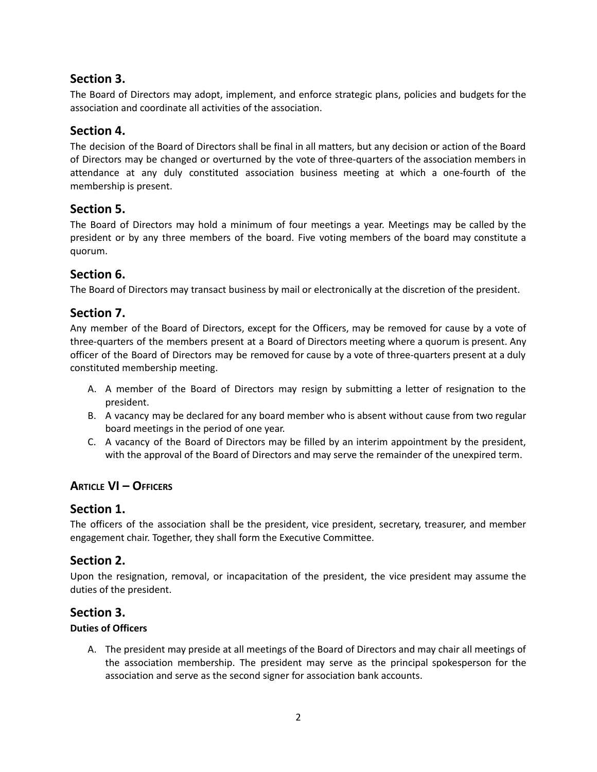# **Section 3.**

The Board of Directors may adopt, implement, and enforce strategic plans, policies and budgets for the association and coordinate all activities of the association.

# **Section 4.**

The decision of the Board of Directors shall be final in all matters, but any decision or action of the Board of Directors may be changed or overturned by the vote of three-quarters of the association members in attendance at any duly constituted association business meeting at which a one-fourth of the membership is present.

## **Section 5.**

The Board of Directors may hold a minimum of four meetings a year. Meetings may be called by the president or by any three members of the board. Five voting members of the board may constitute a quorum.

## **Section 6.**

The Board of Directors may transact business by mail or electronically at the discretion of the president.

# **Section 7.**

Any member of the Board of Directors, except for the Officers, may be removed for cause by a vote of three-quarters of the members present at a Board of Directors meeting where a quorum is present. Any officer of the Board of Directors may be removed for cause by a vote of three-quarters present at a duly constituted membership meeting.

- A. A member of the Board of Directors may resign by submitting a letter of resignation to the president.
- B. A vacancy may be declared for any board member who is absent without cause from two regular board meetings in the period of one year.
- C. A vacancy of the Board of Directors may be filled by an interim appointment by the president, with the approval of the Board of Directors and may serve the remainder of the unexpired term.

# **ARTICLE VI – OFFICERS**

## **Section 1.**

The officers of the association shall be the president, vice president, secretary, treasurer, and member engagement chair. Together, they shall form the Executive Committee.

# **Section 2.**

Upon the resignation, removal, or incapacitation of the president, the vice president may assume the duties of the president.

# **Section 3.**

#### **Duties of Officers**

A. The president may preside at all meetings of the Board of Directors and may chair all meetings of the association membership. The president may serve as the principal spokesperson for the association and serve as the second signer for association bank accounts.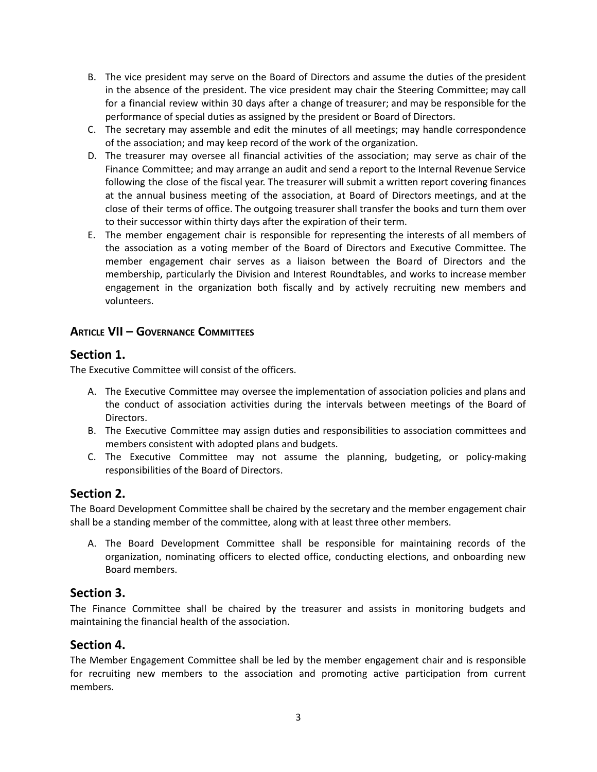- B. The vice president may serve on the Board of Directors and assume the duties of the president in the absence of the president. The vice president may chair the Steering Committee; may call for a financial review within 30 days after a change of treasurer; and may be responsible for the performance of special duties as assigned by the president or Board of Directors.
- C. The secretary may assemble and edit the minutes of all meetings; may handle correspondence of the association; and may keep record of the work of the organization.
- D. The treasurer may oversee all financial activities of the association; may serve as chair of the Finance Committee; and may arrange an audit and send a report to the Internal Revenue Service following the close of the fiscal year. The treasurer will submit a written report covering finances at the annual business meeting of the association, at Board of Directors meetings, and at the close of their terms of office. The outgoing treasurer shall transfer the books and turn them over to their successor within thirty days after the expiration of their term.
- E. The member engagement chair is responsible for representing the interests of all members of the association as a voting member of the Board of Directors and Executive Committee. The member engagement chair serves as a liaison between the Board of Directors and the membership, particularly the Division and Interest Roundtables, and works to increase member engagement in the organization both fiscally and by actively recruiting new members and volunteers.

## **ARTICLE VII – GOVERNANCE COMMITTEES**

## **Section 1.**

The Executive Committee will consist of the officers.

- A. The Executive Committee may oversee the implementation of association policies and plans and the conduct of association activities during the intervals between meetings of the Board of Directors.
- B. The Executive Committee may assign duties and responsibilities to association committees and members consistent with adopted plans and budgets.
- C. The Executive Committee may not assume the planning, budgeting, or policy-making responsibilities of the Board of Directors.

# **Section 2.**

The Board Development Committee shall be chaired by the secretary and the member engagement chair shall be a standing member of the committee, along with at least three other members.

A. The Board Development Committee shall be responsible for maintaining records of the organization, nominating officers to elected office, conducting elections, and onboarding new Board members.

# **Section 3.**

The Finance Committee shall be chaired by the treasurer and assists in monitoring budgets and maintaining the financial health of the association.

## **Section 4.**

The Member Engagement Committee shall be led by the member engagement chair and is responsible for recruiting new members to the association and promoting active participation from current members.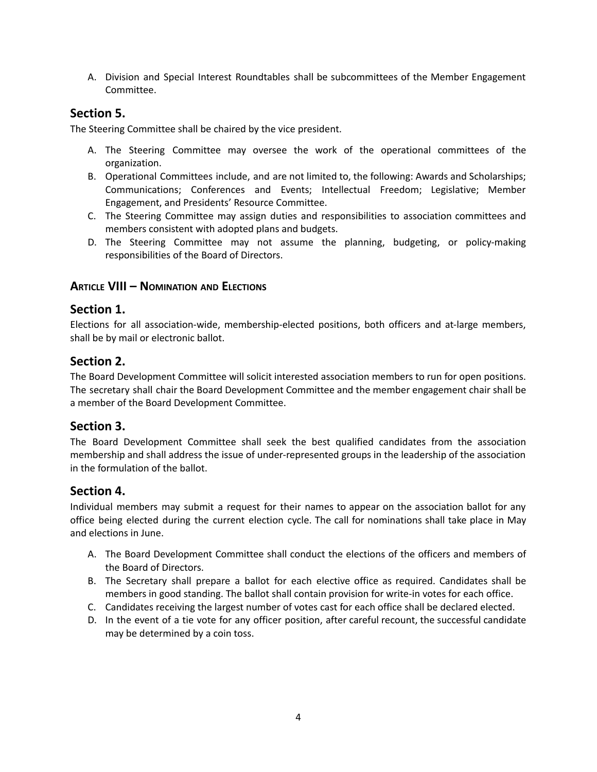A. Division and Special Interest Roundtables shall be subcommittees of the Member Engagement Committee.

## **Section 5.**

The Steering Committee shall be chaired by the vice president.

- A. The Steering Committee may oversee the work of the operational committees of the organization.
- B. Operational Committees include, and are not limited to, the following: Awards and Scholarships; Communications; Conferences and Events; Intellectual Freedom; Legislative; Member Engagement, and Presidents' Resource Committee.
- C. The Steering Committee may assign duties and responsibilities to association committees and members consistent with adopted plans and budgets.
- D. The Steering Committee may not assume the planning, budgeting, or policy-making responsibilities of the Board of Directors.

## **ARTICLE VIII – NOMINATION AND ELECTIONS**

## **Section 1.**

Elections for all association-wide, membership-elected positions, both officers and at-large members, shall be by mail or electronic ballot.

## **Section 2.**

The Board Development Committee will solicit interested association members to run for open positions. The secretary shall chair the Board Development Committee and the member engagement chair shall be a member of the Board Development Committee.

## **Section 3.**

The Board Development Committee shall seek the best qualified candidates from the association membership and shall address the issue of under-represented groups in the leadership of the association in the formulation of the ballot.

## **Section 4.**

Individual members may submit a request for their names to appear on the association ballot for any office being elected during the current election cycle. The call for nominations shall take place in May and elections in June.

- A. The Board Development Committee shall conduct the elections of the officers and members of the Board of Directors.
- B. The Secretary shall prepare a ballot for each elective office as required. Candidates shall be members in good standing. The ballot shall contain provision for write-in votes for each office.
- C. Candidates receiving the largest number of votes cast for each office shall be declared elected.
- D. In the event of a tie vote for any officer position, after careful recount, the successful candidate may be determined by a coin toss.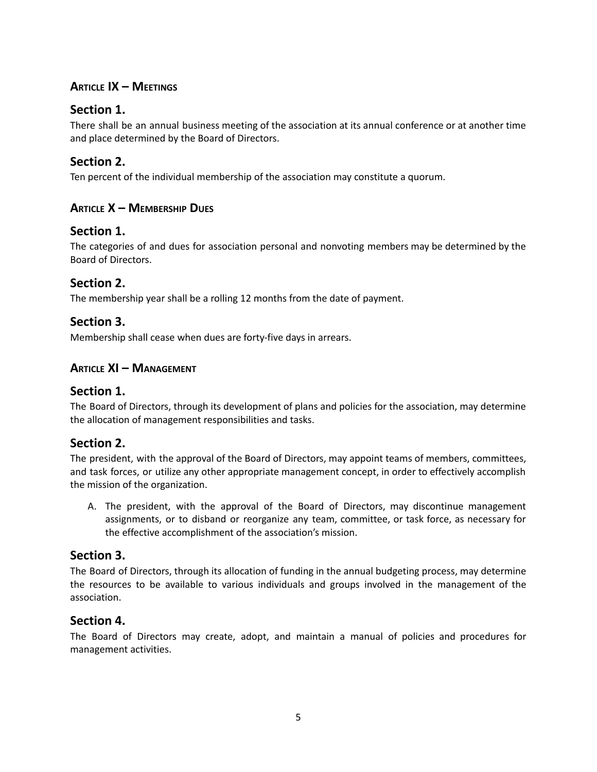# **ARTICLE IX – MEETINGS**

# **Section 1.**

There shall be an annual business meeting of the association at its annual conference or at another time and place determined by the Board of Directors.

## **Section 2.**

Ten percent of the individual membership of the association may constitute a quorum.

## **ARTICLE X – MEMBERSHIP DUES**

## **Section 1.**

The categories of and dues for association personal and nonvoting members may be determined by the Board of Directors.

## **Section 2.**

The membership year shall be a rolling 12 months from the date of payment.

## **Section 3.**

Membership shall cease when dues are forty-five days in arrears.

## **ARTICLE XI – MANAGEMENT**

## **Section 1.**

The Board of Directors, through its development of plans and policies for the association, may determine the allocation of management responsibilities and tasks.

## **Section 2.**

The president, with the approval of the Board of Directors, may appoint teams of members, committees, and task forces, or utilize any other appropriate management concept, in order to effectively accomplish the mission of the organization.

A. The president, with the approval of the Board of Directors, may discontinue management assignments, or to disband or reorganize any team, committee, or task force, as necessary for the effective accomplishment of the association's mission.

## **Section 3.**

The Board of Directors, through its allocation of funding in the annual budgeting process, may determine the resources to be available to various individuals and groups involved in the management of the association.

## **Section 4.**

The Board of Directors may create, adopt, and maintain a manual of policies and procedures for management activities.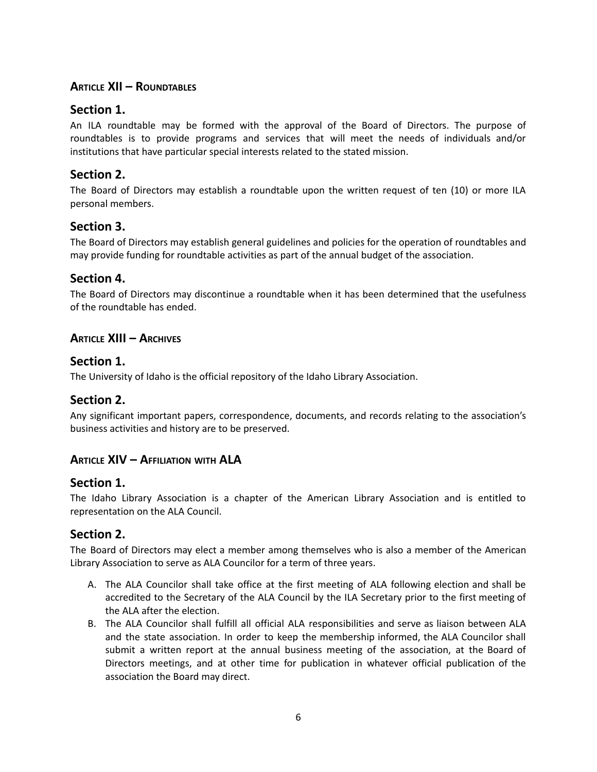# **ARTICLE XII – ROUNDTABLES**

# **Section 1.**

An ILA roundtable may be formed with the approval of the Board of Directors. The purpose of roundtables is to provide programs and services that will meet the needs of individuals and/or institutions that have particular special interests related to the stated mission.

# **Section 2.**

The Board of Directors may establish a roundtable upon the written request of ten (10) or more ILA personal members.

# **Section 3.**

The Board of Directors may establish general guidelines and policies for the operation of roundtables and may provide funding for roundtable activities as part of the annual budget of the association.

# **Section 4.**

The Board of Directors may discontinue a roundtable when it has been determined that the usefulness of the roundtable has ended.

## **ARTICLE XIII – ARCHIVES**

## **Section 1.**

The University of Idaho is the official repository of the Idaho Library Association.

# **Section 2.**

Any significant important papers, correspondence, documents, and records relating to the association's business activities and history are to be preserved.

# **ARTICLE XIV – AFFILIATION WITH ALA**

## **Section 1.**

The Idaho Library Association is a chapter of the American Library Association and is entitled to representation on the ALA Council.

# **Section 2.**

The Board of Directors may elect a member among themselves who is also a member of the American Library Association to serve as ALA Councilor for a term of three years.

- A. The ALA Councilor shall take office at the first meeting of ALA following election and shall be accredited to the Secretary of the ALA Council by the ILA Secretary prior to the first meeting of the ALA after the election.
- B. The ALA Councilor shall fulfill all official ALA responsibilities and serve as liaison between ALA and the state association. In order to keep the membership informed, the ALA Councilor shall submit a written report at the annual business meeting of the association, at the Board of Directors meetings, and at other time for publication in whatever official publication of the association the Board may direct.